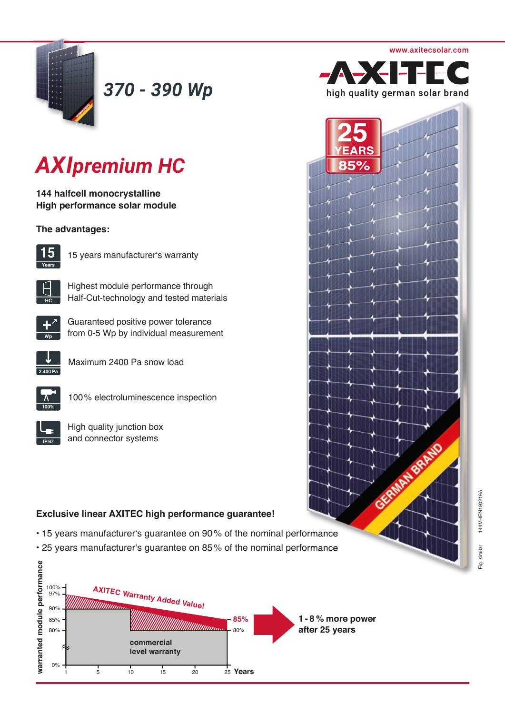

*370 - 390 Wp*

# *AXIpremium HC*

**144 halfcell monocrystalline High performance solar module** 

## **The advantages:**



15 years manufacturer's warranty



Highest module performance through Half-Cut-technology and tested materials



Guaranteed positive power tolerance from 0-5 Wp by individual measurement



Maximum 2400 Pa snow load



100 % electroluminescence inspection

High quality junction box and connector systems

# **Exclusive linear AXITEC high performance guarantee!**

- 15 years manufacturer's guarantee on 90 % of the nominal performance
- 25 years manufacturer's guarantee on 85 % of the nominal performance